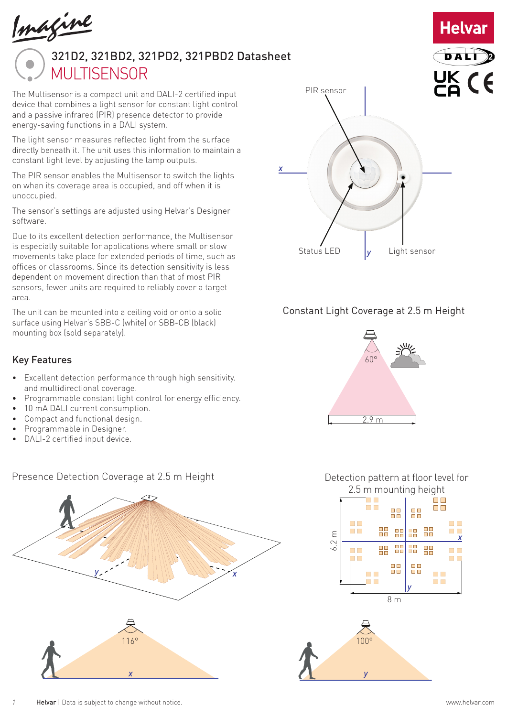

# 321D2, 321BD2, 321PD2, 321PBD2 Datasheet**MULTISENSOR**

The Multisensor is a compact unit and DALI-2 certified input device that combines a light sensor for constant light control and a passive infrared (PIR) presence detector to provide energy-saving functions in a DALI system.

The light sensor measures reflected light from the surface directly beneath it. The unit uses this information to maintain a constant light level by adjusting the lamp outputs.

The PIR sensor enables the Multisensor to switch the lights on when its coverage area is occupied, and off when it is unoccupied.

The sensor's settings are adjusted using Helvar's Designer software.

Due to its excellent detection performance, the Multisensor is especially suitable for applications where small or slow movements take place for extended periods of time, such as offices or classrooms. Since its detection sensitivity is less dependent on movement direction than that of most PIR sensors, fewer units are required to reliably cover a target area.

The unit can be mounted into a ceiling void or onto a solid surface using Helvar's SBB-C (white) or SBB-CB (black) mounting box (sold separately).

#### Key Features

- Excellent detection performance through high sensitivity. and multidirectional coverage.
- Programmable constant light control for energy efficiency.
- 10 mA DALI current consumption.
- Compact and functional design.
- Programmable in Designer.
- DALI-2 certified input device.



#### Presence Detection Coverage at 2.5 m Height



**Helvar** 

DAL

#### Constant Light Coverage at 2.5 m Height



Detection pattern at floor level for